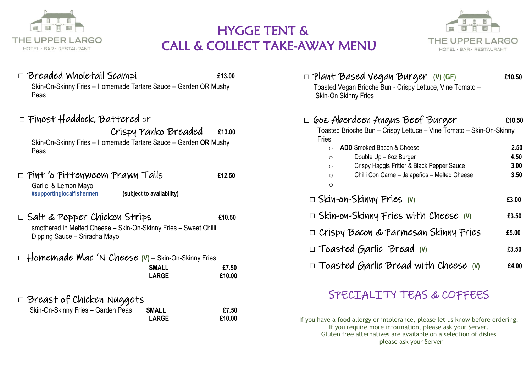

## THE UPPER LARGO **EXAMPLE AND SOLUTION CONTROLLER AND** HE UPPER LARGO **CALL & COLLECT TAKE-AWAY MENU**



| $\Box$ Breaded Wholetail Scampi<br>£13.00<br>Skin-On-Skinny Fries - Homemade Tartare Sauce - Garden OR Mushy<br>Peas                                  | $\square$ Plant Based Vegan Burger (V)(GF)<br>£10.50<br>Toasted Vegan Brioche Bun - Crispy Lettuce, Vine Tomato -<br><b>Skin-On Skinny Fries</b>                                                              |
|-------------------------------------------------------------------------------------------------------------------------------------------------------|---------------------------------------------------------------------------------------------------------------------------------------------------------------------------------------------------------------|
| $\square$ Finest Haddock, Battered <u>or</u>                                                                                                          | $\square$ Goz Aberdeen Angus Beef Burger<br>£10.50<br>Toasted Brioche Bun - Crispy Lettuce - Vine Tomato - Skin-On-Skinny                                                                                     |
| Crispy Panko Breaded<br>£13.00<br>Skin-On-Skinny Fries - Homemade Tartare Sauce - Garden OR Mushy<br>Peas                                             | <b>Fries</b><br>ADD Smoked Bacon & Cheese<br>2.50<br>$\circ$<br>Double Up - 6oz Burger<br>4.50<br>$\circ$<br>Crispy Haggis Fritter & Black Pepper Sauce<br>3.00<br>$\circ$                                    |
| $\Box$ Pint 'o Pittenweem Prawn Tails<br>£12.50<br>Garlic & Lemon Mayo<br>(subject to availability)<br>#supportinglocalfishermen                      | Chilli Con Carne - Jalapeños - Melted Cheese<br>3.50<br>$\circ$<br>$\circ$<br>$\square$ Skin-on-Skinny Fries (v)<br>£3.00                                                                                     |
| $\square$ Salt & Pepper Chicken Strips<br>£10.50<br>smothered in Melted Cheese - Skin-On-Skinny Fries - Sweet Chilli<br>Dipping Sauce - Sriracha Mayo | $\square$ Skin-on-Skinny Fries with Cheese (v)<br>£3.50<br>$\Box$ Crispy Bacon & Parmesan Skinny Fries<br>£5.00                                                                                               |
|                                                                                                                                                       | $\square$ Toasted Garlic Bread (v)<br>£3.50                                                                                                                                                                   |
| $\Box$ Homemade Mac 'N Cheese (V) – Skin-On-Skinny Fries<br><b>SMALL</b><br>£7.50<br><b>LARGE</b><br>£10.00                                           | $\square$ Toasted Garlic Bread with Cheese (v)<br>£4.00                                                                                                                                                       |
| $\square$ Breast of Chicken Nuggets                                                                                                                   | SPECIALITY TEAS & COFFEES                                                                                                                                                                                     |
| Skin-On-Skinny Fries - Garden Peas<br><b>SMALL</b><br>£7.50<br><b>LARGE</b><br>£10.00                                                                 | If you have a food allergy or intolerance, please let us know before ordering.<br>If you require more information, please ask your Server.<br>Gluten free alternatives are available on a selection of dishes |

– please ask your Server